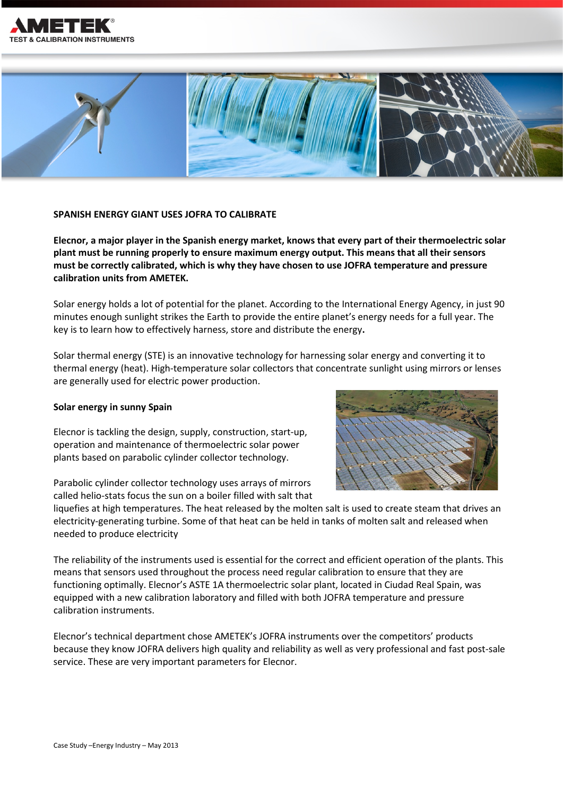



## **SPANISH ENERGY GIANT USES JOFRA TO CALIBRATE**

**Elecnor, a major player in the Spanish energy market, knows that every part of their thermoelectric solar plant must be running properly to ensure maximum energy output. This means that all their sensors must be correctly calibrated, which is why they have chosen to use JOFRA temperature and pressure calibration units from AMETEK.** 

Solar energy holds a lot of potential for the planet. According to the International Energy Agency, in just 90 minutes enough sunlight strikes the Earth to provide the entire planet's energy needs for a full year. The key is to learn how to effectively harness, store and distribute the energy**.** 

Solar thermal energy (STE) is an innovative technology for harnessing solar energy and converting it to thermal energy (heat). High-temperature solar collectors that concentrate sunlight using mirrors or lenses are generally used for electric power production.

# **Solar energy in sunny Spain**

Elecnor is tackling the design, supply, construction, start-up, operation and maintenance of thermoelectric solar power plants based on parabolic cylinder collector technology.

Parabolic cylinder collector technology uses arrays of mirrors called helio-stats focus the sun on a boiler filled with salt that



liquefies at high temperatures. The heat released by the molten salt is used to create steam that drives an electricity-generating turbine. Some of that heat can be held in tanks of molten salt and released when needed to produce electricity

The reliability of the instruments used is essential for the correct and efficient operation of the plants. This means that sensors used throughout the process need regular calibration to ensure that they are functioning optimally. Elecnor's ASTE 1A thermoelectric solar plant, located in Ciudad Real Spain, was equipped with a new calibration laboratory and filled with both JOFRA temperature and pressure calibration instruments.

Elecnor's technical department chose AMETEK's JOFRA instruments over the competitors' products because they know JOFRA delivers high quality and reliability as well as very professional and fast post-sale service. These are very important parameters for Elecnor.